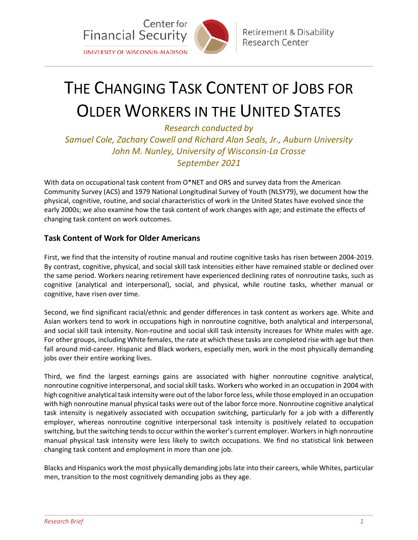

## THE CHANGING TASK CONTENT OF JOBS FOR OLDER WORKERS IN THE UNITED STATES

\_\_\_\_\_\_\_\_\_\_\_\_\_\_\_\_\_\_\_\_\_\_\_\_\_\_\_\_\_\_\_\_\_\_\_\_\_\_\_\_\_\_\_\_\_\_\_\_\_\_\_\_\_\_\_\_\_\_\_\_\_\_\_\_\_\_\_\_\_\_\_\_\_\_\_\_\_\_\_\_\_\_\_\_\_\_\_\_\_\_\_\_\_\_\_\_\_\_\_\_\_\_\_\_\_\_\_\_\_\_\_\_\_\_\_\_\_\_\_\_\_

*Research conducted by Samuel Cole, Zachary Cowell and Richard Alan Seals, Jr., Auburn University John M. Nunley, University of Wisconsin-La Crosse September 2021*

With data on occupational task content from O\*NET and ORS and survey data from the American Community Survey (ACS) and 1979 National Longitudinal Survey of Youth (NLSY79), we document how the physical, cognitive, routine, and social characteristics of work in the United States have evolved since the early 2000s; we also examine how the task content of work changes with age; and estimate the effects of changing task content on work outcomes.

## **Task Content of Work for Older Americans**

First, we find that the intensity of routine manual and routine cognitive tasks has risen between 2004-2019. By contrast, cognitive, physical, and social skill task intensities either have remained stable or declined over the same period. Workers nearing retirement have experienced declining rates of nonroutine tasks, such as cognitive (analytical and interpersonal), social, and physical, while routine tasks, whether manual or cognitive, have risen over time.

Second, we find significant racial/ethnic and gender differences in task content as workers age. White and Asian workers tend to work in occupations high in nonroutine cognitive, both analytical and interpersonal, and social skill task intensity. Non-routine and social skill task intensity increases for White males with age. For other groups, including White females, the rate at which these tasks are completed rise with age but then fall around mid-career. Hispanic and Black workers, especially men, work in the most physically demanding jobs over their entire working lives.

Third, we find the largest earnings gains are associated with higher nonroutine cognitive analytical, nonroutine cognitive interpersonal, and social skill tasks. Workers who worked in an occupation in 2004 with high cognitive analytical task intensity were out of the labor force less, while those employed in an occupation with high nonroutine manual physical tasks were out of the labor force more. Nonroutine cognitive analytical task intensity is negatively associated with occupation switching, particularly for a job with a differently employer, whereas nonroutine cognitive interpersonal task intensity is positively related to occupation switching, but the switching tends to occur within the worker's current employer. Workers in high nonroutine manual physical task intensity were less likely to switch occupations. We find no statistical link between changing task content and employment in more than one job.

Blacks and Hispanics work the most physically demanding jobs late into their careers, while Whites, particular men, transition to the most cognitively demanding jobs as they age.

\_\_\_\_\_\_\_\_\_\_\_\_\_\_\_\_\_\_\_\_\_\_\_\_\_\_\_\_\_\_\_\_\_\_\_\_\_\_\_\_\_\_\_\_\_\_\_\_\_\_\_\_\_\_\_\_\_\_\_\_\_\_\_\_\_\_\_\_\_\_\_\_\_\_\_\_\_\_\_\_\_\_\_\_\_\_\_\_\_\_\_\_\_\_\_\_\_\_\_\_\_\_\_\_\_\_\_\_\_\_\_\_\_\_\_\_\_\_\_\_\_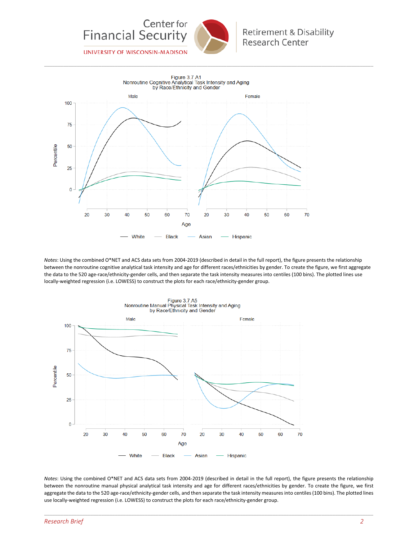

\_\_\_\_\_\_\_\_\_\_\_\_\_\_\_\_\_\_\_\_\_\_\_\_\_\_\_\_\_\_\_\_\_\_\_\_\_\_\_\_\_\_\_\_\_\_\_\_\_\_\_\_\_\_\_\_\_\_\_\_\_\_\_\_\_\_\_\_\_\_\_\_\_\_\_\_\_\_\_\_\_\_\_\_\_\_\_\_\_\_\_\_\_\_\_\_\_\_\_\_\_\_\_\_\_\_\_\_\_\_\_\_\_\_\_\_\_\_\_\_\_

Figure 3.7.A1 Nonroutine Cognitive Analytical Task Intensity and Aging by Race/Ethnicity and Gender Male Female 100 75 50 Percentile 25  $\overline{0}$  $\overline{20}$ 30 40 50 60  $70$  $20$ 30 40 50 60 70 Age **Black** White Asian Hispanic

*Notes*: Using the combined O\*NET and ACS data sets from 2004-2019 (described in detail in the full report), the figure presents the relationship between the nonroutine cognitive analytical task intensity and age for different races/ethnicities by gender. To create the figure, we first aggregate the data to the 520 age-race/ethnicity-gender cells, and then separate the task intensity measures into centiles (100 bins). The plotted lines use locally-weighted regression (i.e. LOWESS) to construct the plots for each race/ethnicity-gender group.



*Notes*: Using the combined O\*NET and ACS data sets from 2004-2019 (described in detail in the full report), the figure presents the relationship between the nonroutine manual physical analytical task intensity and age for different races/ethnicities by gender. To create the figure, we first aggregate the data to the 520 age-race/ethnicity-gender cells, and then separate the task intensity measures into centiles (100 bins). The plotted lines use locally-weighted regression (i.e. LOWESS) to construct the plots for each race/ethnicity-gender group.

\_\_\_\_\_\_\_\_\_\_\_\_\_\_\_\_\_\_\_\_\_\_\_\_\_\_\_\_\_\_\_\_\_\_\_\_\_\_\_\_\_\_\_\_\_\_\_\_\_\_\_\_\_\_\_\_\_\_\_\_\_\_\_\_\_\_\_\_\_\_\_\_\_\_\_\_\_\_\_\_\_\_\_\_\_\_\_\_\_\_\_\_\_\_\_\_\_\_\_\_\_\_\_\_\_\_\_\_\_\_\_\_\_\_\_\_\_\_\_\_\_